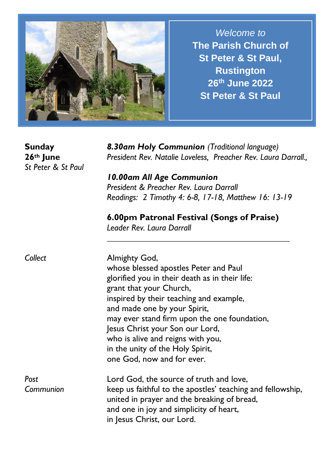

*Welcome to* **The Parish Church of St Peter & St Paul, Rustington 26th June 2022 St Peter & St Paul**

**Sunday 26th June** *St Peter & St Paul* 

*8.30am Holy Communion (Traditional language) President Rev. Natalie Loveless, Preacher Rev. Laura Darrall.,* 

*10.00am All Age Communion President & Preacher Rev. Laura Darrall Readings: 2 Timothy 4: 6-8, 17-18, Matthew 16: 13-19*

## **6.00pm Patronal Festival (Songs of Praise)**

*\_\_\_\_\_\_\_\_\_\_\_\_\_\_\_\_\_\_\_\_\_\_\_\_\_\_\_\_\_\_\_\_\_\_\_\_\_\_\_\_\_\_*

*Leader Rev. Laura Darrall* 

| Collect           | Almighty God,<br>whose blessed apostles Peter and Paul<br>glorified you in their death as in their life:<br>grant that your Church,<br>inspired by their teaching and example,<br>and made one by your Spirit,<br>may ever stand firm upon the one foundation,<br>Jesus Christ your Son our Lord,<br>who is alive and reigns with you,<br>in the unity of the Holy Spirit,<br>one God, now and for ever. |
|-------------------|----------------------------------------------------------------------------------------------------------------------------------------------------------------------------------------------------------------------------------------------------------------------------------------------------------------------------------------------------------------------------------------------------------|
| Post<br>Communion | Lord God, the source of truth and love,<br>keep us faithful to the apostles' teaching and fellowship,<br>united in prayer and the breaking of bread,<br>and one in joy and simplicity of heart,<br>in Jesus Christ, our Lord.                                                                                                                                                                            |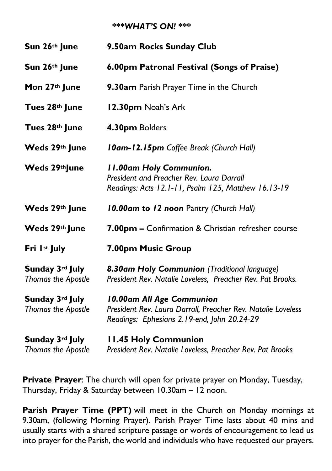## *\*\*\*WHAT'S ON! \*\*\**

| Sun 26th June                                | 9.50am Rocks Sunday Club                                                                                                                 |
|----------------------------------------------|------------------------------------------------------------------------------------------------------------------------------------------|
| Sun 26th June                                | 6.00pm Patronal Festival (Songs of Praise)                                                                                               |
| Mon 27th June                                | 9.30am Parish Prayer Time in the Church                                                                                                  |
| Tues 28th June                               | 12.30pm Noah's Ark                                                                                                                       |
| Tues 28th June                               | 4.30pm Bolders                                                                                                                           |
| Weds 29th June                               | <b>10am-12.15pm</b> Coffee Break (Church Hall)                                                                                           |
| Weds 29th June                               | <b>II.00am Holy Communion.</b><br>President and Preacher Rev. Laura Darrall<br>Readings: Acts 12.1-11, Psalm 125, Matthew 16.13-19       |
| Weds 29th June                               | 10.00am to 12 noon Pantry (Church Hall)                                                                                                  |
| Weds 29th June                               | 7.00pm - Confirmation & Christian refresher course                                                                                       |
| Fri 1st July                                 | 7.00pm Music Group                                                                                                                       |
| Sunday 3rd July<br><b>Thomas the Apostle</b> | 8.30am Holy Communion (Traditional language)<br>President Rev. Natalie Loveless, Preacher Rev. Pat Brooks.                               |
| Sunday 3rd July<br>Thomas the Apostle        | 10.00am All Age Communion<br>President Rev. Laura Darrall, Preacher Rev. Natalie Loveless<br>Readings: Ephesians 2.19-end, John 20.24-29 |
| Sunday 3rd July<br>Thomas the Apostle        | <b>11.45 Holy Communion</b><br>President Rev. Natalie Loveless, Preacher Rev. Pat Brooks                                                 |

**Private Prayer**: The church will open for private prayer on Monday, Tuesday, Thursday, Friday & Saturday between 10.30am – 12 noon.

Parish Prayer Time (PPT) will meet in the Church on Monday mornings at 9.30am, (following Morning Prayer). Parish Prayer Time lasts about 40 mins and usually starts with a shared scripture passage or words of encouragement to lead us into prayer for the Parish, the world and individuals who have requested our prayers.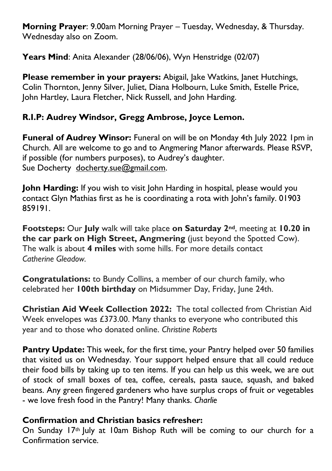**Morning Prayer**: 9.00am Morning Prayer – Tuesday, Wednesday, & Thursday. Wednesday also on Zoom.

**Years Mind**: Anita Alexander (28/06/06), Wyn Henstridge (02/07)

**Please remember in your prayers:** Abigail, Jake Watkins, Janet Hutchings, Colin Thornton, Jenny Silver, Juliet, Diana Holbourn, Luke Smith, Estelle Price, John Hartley, Laura Fletcher, Nick Russell, and John Harding.

## **R.I.P: Audrey Windsor, Gregg Ambrose, Joyce Lemon.**

Funeral of Audrey Winsor: Funeral on will be on Monday 4th July 2022 Ipm in Church. All are welcome to go and to Angmering Manor afterwards. Please RSVP, if possible (for numbers purposes), to Audrey's daughter. Sue Docherty [docherty.sue@gmail.com.](mailto:docherty.sue@gmail.com)

**John Harding:** If you wish to visit John Harding in hospital, please would you contact Glyn Mathias first as he is coordinating a rota with John's family. 01903 859191.

**Footsteps:** Our **July** walk will take place **on Saturday 2nd**, meeting at **10.20 in the car park on High Street, Angmering** (just beyond the Spotted Cow). The walk is about **4 miles** with some hills. For more details contact *Catherine Gleadow.*

**Congratulations:** to Bundy Collins, a member of our church family, who celebrated her **100th birthday** on Midsummer Day, Friday, June 24th.

**Christian Aid Week Collection 2022:** The total collected from Christian Aid Week envelopes was £373.00. Many thanks to everyone who contributed this year and to those who donated online. *Christine Roberts*

**Pantry Update:** This week, for the first time, your Pantry helped over 50 families that visited us on Wednesday. Your support helped ensure that all could reduce their food bills by taking up to ten items. If you can help us this week, we are out of stock of small boxes of tea, coffee, cereals, pasta sauce, squash, and baked beans. Any green fingered gardeners who have surplus crops of fruit or vegetables - we love fresh food in the Pantry! Many thanks. *Charlie*

## **Confirmation and Christian basics refresher:**

On Sunday 17<sup>th</sup> July at 10am Bishop Ruth will be coming to our church for a Confirmation service.